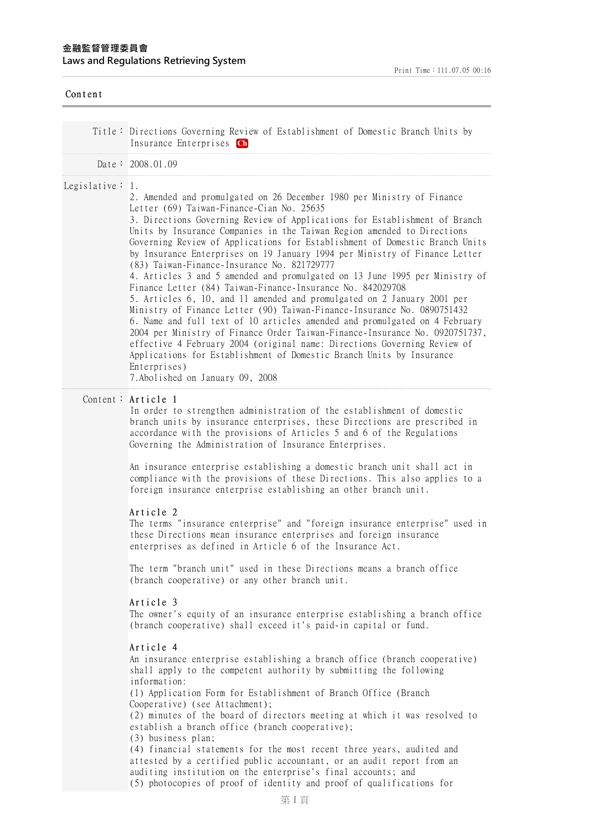| Content             |                                                                                                                                                                                                                                                                                                                                                                                                                                                                                                                                                                                                                                                                                                                                                                                                                                                                                                                                                                                                                                                                                                                                                                                                                                                                                                                                                                                                                                                                                                                                                                                                                                                                                                                                                                                                       |
|---------------------|-------------------------------------------------------------------------------------------------------------------------------------------------------------------------------------------------------------------------------------------------------------------------------------------------------------------------------------------------------------------------------------------------------------------------------------------------------------------------------------------------------------------------------------------------------------------------------------------------------------------------------------------------------------------------------------------------------------------------------------------------------------------------------------------------------------------------------------------------------------------------------------------------------------------------------------------------------------------------------------------------------------------------------------------------------------------------------------------------------------------------------------------------------------------------------------------------------------------------------------------------------------------------------------------------------------------------------------------------------------------------------------------------------------------------------------------------------------------------------------------------------------------------------------------------------------------------------------------------------------------------------------------------------------------------------------------------------------------------------------------------------------------------------------------------------|
|                     | Title: Directions Governing Review of Establishment of Domestic Branch Units by<br>Insurance Enterprises Ch                                                                                                                                                                                                                                                                                                                                                                                                                                                                                                                                                                                                                                                                                                                                                                                                                                                                                                                                                                                                                                                                                                                                                                                                                                                                                                                                                                                                                                                                                                                                                                                                                                                                                           |
|                     | Date: 2008.01.09                                                                                                                                                                                                                                                                                                                                                                                                                                                                                                                                                                                                                                                                                                                                                                                                                                                                                                                                                                                                                                                                                                                                                                                                                                                                                                                                                                                                                                                                                                                                                                                                                                                                                                                                                                                      |
| Legislative $: 1$ . | 2. Amended and promulgated on 26 December 1980 per Ministry of Finance<br>Letter (69) Taiwan-Finance-Cian No. 25635<br>3. Directions Governing Review of Applications for Establishment of Branch<br>Units by Insurance Companies in the Taiwan Region amended to Directions<br>Governing Review of Applications for Establishment of Domestic Branch Units<br>by Insurance Enterprises on 19 January 1994 per Ministry of Finance Letter<br>(83) Taiwan-Finance-Insurance No. 821729777<br>4. Articles 3 and 5 amended and promulgated on 13 June 1995 per Ministry of<br>Finance Letter (84) Taiwan-Finance-Insurance No. 842029708<br>5. Articles 6, 10, and 11 amended and promulgated on 2 January 2001 per<br>Ministry of Finance Letter (90) Taiwan-Finance-Insurance No. 0890751432<br>6. Name and full text of 10 articles amended and promulgated on 4 February<br>2004 per Ministry of Finance Order Taiwan-Finance-Insurance No. 0920751737,<br>effective 4 February 2004 (original name: Directions Governing Review of<br>Applications for Establishment of Domestic Branch Units by Insurance<br>Enterprises)<br>7. Abolished on January 09, 2008                                                                                                                                                                                                                                                                                                                                                                                                                                                                                                                                                                                                                                      |
|                     | Content: Article 1<br>In order to strengthen administration of the establishment of domestic<br>branch units by insurance enterprises, these Directions are prescribed in<br>accordance with the provisions of Articles 5 and 6 of the Regulations<br>Governing the Administration of Insurance Enterprises.<br>An insurance enterprise establishing a domestic branch unit shall act in<br>compliance with the provisions of these Directions. This also applies to a<br>foreign insurance enterprise establishing an other branch unit.<br>Article 2<br>The terms "insurance enterprise" and "foreign insurance enterprise" used in<br>these Directions mean insurance enterprises and foreign insurance<br>enterprises as defined in Article 6 of the Insurance Act.<br>The term "branch unit" used in these Directions means a branch office<br>(branch cooperative) or any other branch unit.<br>Article 3<br>The owner's equity of an insurance enterprise establishing a branch office<br>(branch cooperative) shall exceed it's paid-in capital or fund.<br>Article 4<br>An insurance enterprise establishing a branch office (branch cooperative)<br>shall apply to the competent authority by submitting the following<br>information:<br>(1) Application Form for Establishment of Branch Office (Branch<br>Cooperative) (see Attachment);<br>(2) minutes of the board of directors meeting at which it was resolved to<br>establish a branch office (branch cooperative);<br>(3) business plan;<br>(4) financial statements for the most recent three years, audited and<br>attested by a certified public accountant, or an audit report from an<br>auditing institution on the enterprise's final accounts; and<br>(5) photocopies of proof of identity and proof of qualifications for |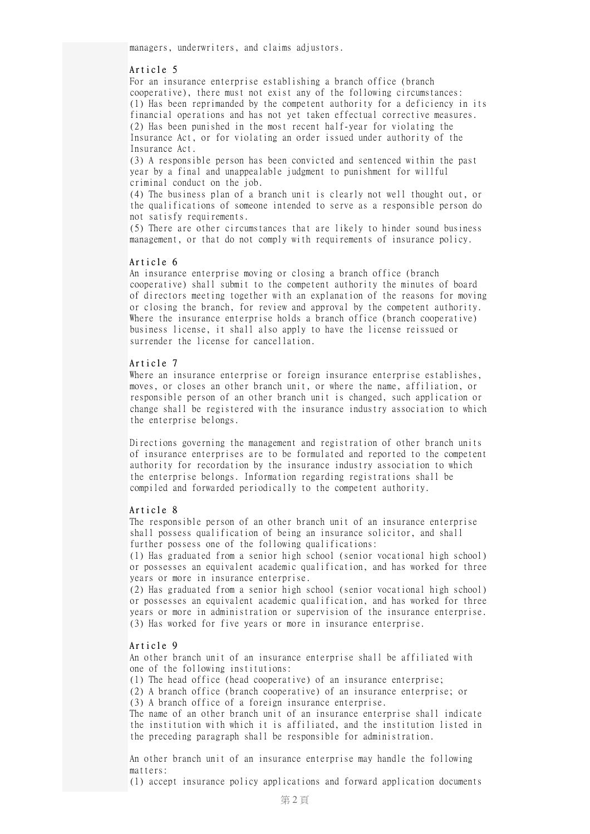managers, underwriters, and claims adjustors.

## Article 5

For an insurance enterprise establishing a branch office (branch cooperative), there must not exist any of the following circumstances: (1) Has been reprimanded by the competent authority for a deficiency in its financial operations and has not yet taken effectual corrective measures. (2) Has been punished in the most recent half-year for violating the Insurance Act, or for violating an order issued under authority of the Insurance Act.

(3) A responsible person has been convicted and sentenced within the past year by a final and unappealable judgment to punishment for willful criminal conduct on the job.

(4) The business plan of a branch unit is clearly not well thought out, or the qualifications of someone intended to serve as a responsible person do not satisfy requirements.

(5) There are other circumstances that are likely to hinder sound business management, or that do not comply with requirements of insurance policy.

#### Article 6

An insurance enterprise moving or closing a branch office (branch cooperative) shall submit to the competent authority the minutes of board of directors meeting together with an explanation of the reasons for moving or closing the branch, for review and approval by the competent authority. Where the insurance enterprise holds a branch office (branch cooperative) business license, it shall also apply to have the license reissued or surrender the license for cancellation.

## Article 7

Where an insurance enterprise or foreign insurance enterprise establishes, moves, or closes an other branch unit, or where the name, affiliation, or responsible person of an other branch unit is changed, such application or change shall be registered with the insurance industry association to which the enterprise belongs.

Directions governing the management and registration of other branch units of insurance enterprises are to be formulated and reported to the competent authority for recordation by the insurance industry association to which the enterprise belongs. Information regarding registrations shall be compiled and forwarded periodically to the competent authority.

### Article 8

The responsible person of an other branch unit of an insurance enterprise shall possess qualification of being an insurance solicitor, and shall further possess one of the following qualifications:

(1) Has graduated from a senior high school (senior vocational high school) or possesses an equivalent academic qualification, and has worked for three years or more in insurance enterprise.

(2) Has graduated from a senior high school (senior vocational high school) or possesses an equivalent academic qualification, and has worked for three years or more in administration or supervision of the insurance enterprise. (3) Has worked for five years or more in insurance enterprise.

## Article 9

An other branch unit of an insurance enterprise shall be affiliated with one of the following institutions:

(1) The head office (head cooperative) of an insurance enterprise;

(2) A branch office (branch cooperative) of an insurance enterprise; or (3) A branch office of a foreign insurance enterprise.

The name of an other branch unit of an insurance enterprise shall indicate the institution with which it is affiliated, and the institution listed in the preceding paragraph shall be responsible for administration.

An other branch unit of an insurance enterprise may handle the following matters:

(1) accept insurance policy applications and forward application documents